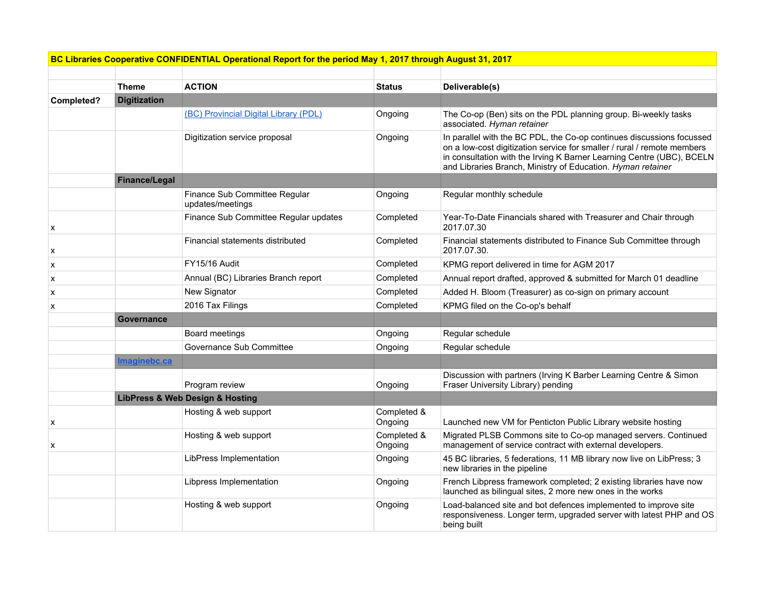| BC Libraries Cooperative CONFIDENTIAL Operational Report for the period May 1, 2017 through August 31, 2017/ |  |  |  |  |  |
|--------------------------------------------------------------------------------------------------------------|--|--|--|--|--|
|--------------------------------------------------------------------------------------------------------------|--|--|--|--|--|

|            | <b>Theme</b>        | <b>ACTION</b>                                     | <b>Status</b>          | Deliverable(s)                                                                                                                                                                                                                                                                           |
|------------|---------------------|---------------------------------------------------|------------------------|------------------------------------------------------------------------------------------------------------------------------------------------------------------------------------------------------------------------------------------------------------------------------------------|
| Completed? | <b>Digitization</b> |                                                   |                        |                                                                                                                                                                                                                                                                                          |
|            |                     | (BC) Provincial Digital Library (PDL)             | Ongoing                | The Co-op (Ben) sits on the PDL planning group. Bi-weekly tasks<br>associated. Hyman retainer                                                                                                                                                                                            |
|            |                     | Digitization service proposal                     | Ongoing                | In parallel with the BC PDL, the Co-op continues discussions focussed<br>on a low-cost digitization service for smaller / rural / remote members<br>in consultation with the Irving K Barner Learning Centre (UBC), BCELN<br>and Libraries Branch, Ministry of Education. Hyman retainer |
|            | Finance/Legal       |                                                   |                        |                                                                                                                                                                                                                                                                                          |
|            |                     | Finance Sub Committee Regular<br>updates/meetings | Ongoing                | Regular monthly schedule                                                                                                                                                                                                                                                                 |
| X          |                     | Finance Sub Committee Regular updates             | Completed              | Year-To-Date Financials shared with Treasurer and Chair through<br>2017.07.30                                                                                                                                                                                                            |
| X          |                     | Financial statements distributed                  | Completed              | Financial statements distributed to Finance Sub Committee through<br>2017.07.30.                                                                                                                                                                                                         |
| x          |                     | FY15/16 Audit                                     | Completed              | KPMG report delivered in time for AGM 2017                                                                                                                                                                                                                                               |
| X          |                     | Annual (BC) Libraries Branch report               | Completed              | Annual report drafted, approved & submitted for March 01 deadline                                                                                                                                                                                                                        |
| X          |                     | New Signator                                      | Completed              | Added H. Bloom (Treasurer) as co-sign on primary account                                                                                                                                                                                                                                 |
| x          |                     | 2016 Tax Filings                                  | Completed              | KPMG filed on the Co-op's behalf                                                                                                                                                                                                                                                         |
|            | <b>Governance</b>   |                                                   |                        |                                                                                                                                                                                                                                                                                          |
|            |                     | Board meetings                                    | Ongoing                | Regular schedule                                                                                                                                                                                                                                                                         |
|            |                     | Governance Sub Committee                          | Ongoing                | Regular schedule                                                                                                                                                                                                                                                                         |
|            | <b>Imaginebc.ca</b> |                                                   |                        |                                                                                                                                                                                                                                                                                          |
|            |                     | Program review                                    | Ongoing                | Discussion with partners (Irving K Barber Learning Centre & Simon<br>Fraser University Library) pending                                                                                                                                                                                  |
|            |                     | <b>LibPress &amp; Web Design &amp; Hosting</b>    |                        |                                                                                                                                                                                                                                                                                          |
| x          |                     | Hosting & web support                             | Completed &<br>Ongoing | Launched new VM for Penticton Public Library website hosting                                                                                                                                                                                                                             |
| х          |                     | Hosting & web support                             | Completed &<br>Ongoing | Migrated PLSB Commons site to Co-op managed servers. Continued<br>management of service contract with external developers.                                                                                                                                                               |
|            |                     | LibPress Implementation                           | Ongoing                | 45 BC libraries, 5 federations, 11 MB library now live on LibPress; 3<br>new libraries in the pipeline                                                                                                                                                                                   |
|            |                     | Libpress Implementation                           | Ongoing                | French Libpress framework completed; 2 existing libraries have now<br>launched as bilingual sites, 2 more new ones in the works                                                                                                                                                          |
|            |                     | Hosting & web support                             | Ongoing                | Load-balanced site and bot defences implemented to improve site<br>responsiveness. Longer term, upgraded server with latest PHP and OS<br>being built                                                                                                                                    |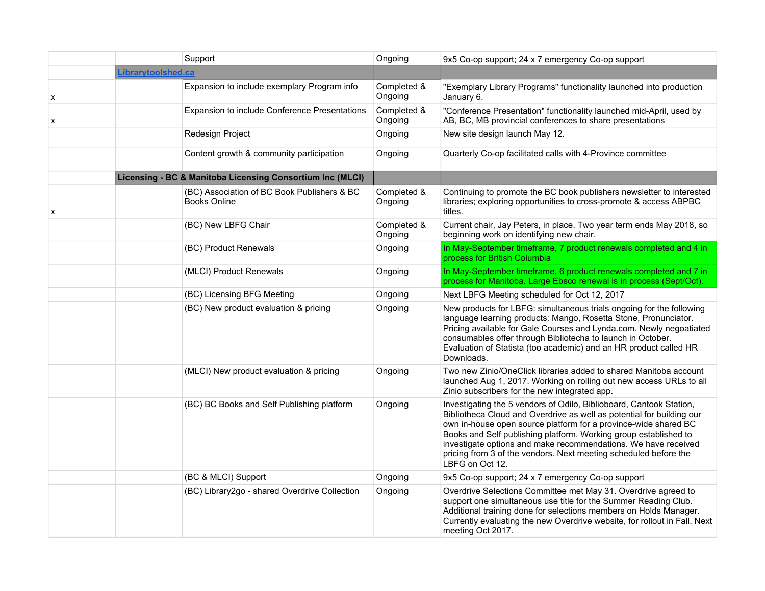|   | Support                                                            | Ongoing                | 9x5 Co-op support; 24 x 7 emergency Co-op support                                                                                                                                                                                                                                                                                                                                                                                            |
|---|--------------------------------------------------------------------|------------------------|----------------------------------------------------------------------------------------------------------------------------------------------------------------------------------------------------------------------------------------------------------------------------------------------------------------------------------------------------------------------------------------------------------------------------------------------|
|   | Librarytoolshed.ca                                                 |                        |                                                                                                                                                                                                                                                                                                                                                                                                                                              |
| X | Expansion to include exemplary Program info                        | Completed &<br>Ongoing | "Exemplary Library Programs" functionality launched into production<br>January 6.                                                                                                                                                                                                                                                                                                                                                            |
| X | Expansion to include Conference Presentations                      | Completed &<br>Ongoing | "Conference Presentation" functionality launched mid-April, used by<br>AB, BC, MB provincial conferences to share presentations                                                                                                                                                                                                                                                                                                              |
|   | Redesign Project                                                   | Ongoing                | New site design launch May 12.                                                                                                                                                                                                                                                                                                                                                                                                               |
|   | Content growth & community participation                           | Ongoing                | Quarterly Co-op facilitated calls with 4-Province committee                                                                                                                                                                                                                                                                                                                                                                                  |
|   | Licensing - BC & Manitoba Licensing Consortium Inc (MLCI)          |                        |                                                                                                                                                                                                                                                                                                                                                                                                                                              |
| х | (BC) Association of BC Book Publishers & BC<br><b>Books Online</b> | Completed &<br>Ongoing | Continuing to promote the BC book publishers newsletter to interested<br>libraries; exploring opportunities to cross-promote & access ABPBC<br>titles.                                                                                                                                                                                                                                                                                       |
|   | (BC) New LBFG Chair                                                | Completed &<br>Ongoing | Current chair, Jay Peters, in place. Two year term ends May 2018, so<br>beginning work on identifying new chair.                                                                                                                                                                                                                                                                                                                             |
|   | (BC) Product Renewals                                              | Ongoing                | In May-September timeframe, 7 product renewals completed and 4 in<br>process for British Columbia                                                                                                                                                                                                                                                                                                                                            |
|   | (MLCI) Product Renewals                                            | Ongoing                | In May-September timeframe, 6 product renewals completed and 7 in<br>process for Manitoba. Large Ebsco renewal is in process (Sept/Oct).                                                                                                                                                                                                                                                                                                     |
|   | (BC) Licensing BFG Meeting                                         | Ongoing                | Next LBFG Meeting scheduled for Oct 12, 2017                                                                                                                                                                                                                                                                                                                                                                                                 |
|   | (BC) New product evaluation & pricing                              | Ongoing                | New products for LBFG: simultaneous trials ongoing for the following<br>language learning products: Mango, Rosetta Stone, Pronunciator.<br>Pricing available for Gale Courses and Lynda.com. Newly negoatiated<br>consumables offer through Bibliotecha to launch in October.<br>Evaluation of Statista (too academic) and an HR product called HR<br>Downloads.                                                                             |
|   | (MLCI) New product evaluation & pricing                            | Ongoing                | Two new Zinio/OneClick libraries added to shared Manitoba account<br>launched Aug 1, 2017. Working on rolling out new access URLs to all<br>Zinio subscribers for the new integrated app.                                                                                                                                                                                                                                                    |
|   | (BC) BC Books and Self Publishing platform                         | Ongoing                | Investigating the 5 vendors of Odilo, Biblioboard, Cantook Station,<br>Bibliotheca Cloud and Overdrive as well as potential for building our<br>own in-house open source platform for a province-wide shared BC<br>Books and Self publishing platform. Working group established to<br>investigate options and make recommendations. We have received<br>pricing from 3 of the vendors. Next meeting scheduled before the<br>LBFG on Oct 12. |
|   | (BC & MLCI) Support                                                | Ongoing                | 9x5 Co-op support; 24 x 7 emergency Co-op support                                                                                                                                                                                                                                                                                                                                                                                            |
|   | (BC) Library2go - shared Overdrive Collection                      | Ongoing                | Overdrive Selections Committee met May 31. Overdrive agreed to<br>support one simultaneous use title for the Summer Reading Club.<br>Additional training done for selections members on Holds Manager.<br>Currently evaluating the new Overdrive website, for rollout in Fall. Next<br>meeting Oct 2017.                                                                                                                                     |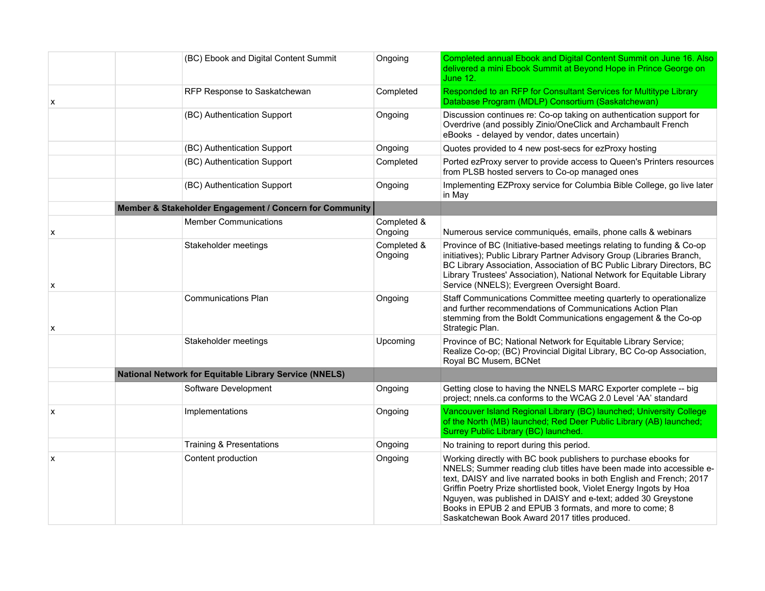|   | (BC) Ebook and Digital Content Summit                         | Ongoing                | Completed annual Ebook and Digital Content Summit on June 16. Also<br>delivered a mini Ebook Summit at Beyond Hope in Prince George on<br>June 12.                                                                                                                                                                                                                                                                                                                |
|---|---------------------------------------------------------------|------------------------|-------------------------------------------------------------------------------------------------------------------------------------------------------------------------------------------------------------------------------------------------------------------------------------------------------------------------------------------------------------------------------------------------------------------------------------------------------------------|
| x | RFP Response to Saskatchewan                                  | Completed              | Responded to an RFP for Consultant Services for Multitype Library<br>Database Program (MDLP) Consortium (Saskatchewan)                                                                                                                                                                                                                                                                                                                                            |
|   | (BC) Authentication Support                                   | Ongoing                | Discussion continues re: Co-op taking on authentication support for<br>Overdrive (and possibly Zinio/OneClick and Archambault French<br>eBooks - delayed by vendor, dates uncertain)                                                                                                                                                                                                                                                                              |
|   | (BC) Authentication Support                                   | Ongoing                | Quotes provided to 4 new post-secs for ezProxy hosting                                                                                                                                                                                                                                                                                                                                                                                                            |
|   | (BC) Authentication Support                                   | Completed              | Ported ezProxy server to provide access to Queen's Printers resources<br>from PLSB hosted servers to Co-op managed ones                                                                                                                                                                                                                                                                                                                                           |
|   | (BC) Authentication Support                                   | Ongoing                | Implementing EZProxy service for Columbia Bible College, go live later<br>in May                                                                                                                                                                                                                                                                                                                                                                                  |
|   | Member & Stakeholder Engagement / Concern for Community       |                        |                                                                                                                                                                                                                                                                                                                                                                                                                                                                   |
| x | <b>Member Communications</b>                                  | Completed &<br>Ongoing | Numerous service communiqués, emails, phone calls & webinars                                                                                                                                                                                                                                                                                                                                                                                                      |
| х | Stakeholder meetings                                          | Completed &<br>Ongoing | Province of BC (Initiative-based meetings relating to funding & Co-op<br>initiatives); Public Library Partner Advisory Group (Libraries Branch,<br>BC Library Association, Association of BC Public Library Directors, BC<br>Library Trustees' Association), National Network for Equitable Library<br>Service (NNELS); Evergreen Oversight Board.                                                                                                                |
| X | <b>Communications Plan</b>                                    | Ongoing                | Staff Communications Committee meeting quarterly to operationalize<br>and further recommendations of Communications Action Plan<br>stemming from the Boldt Communications engagement & the Co-op<br>Strategic Plan.                                                                                                                                                                                                                                               |
|   | Stakeholder meetings                                          | Upcoming               | Province of BC; National Network for Equitable Library Service;<br>Realize Co-op; (BC) Provincial Digital Library, BC Co-op Association,<br>Royal BC Musem, BCNet                                                                                                                                                                                                                                                                                                 |
|   | <b>National Network for Equitable Library Service (NNELS)</b> |                        |                                                                                                                                                                                                                                                                                                                                                                                                                                                                   |
|   | Software Development                                          | Ongoing                | Getting close to having the NNELS MARC Exporter complete -- big<br>project; nnels.ca conforms to the WCAG 2.0 Level 'AA' standard                                                                                                                                                                                                                                                                                                                                 |
| X | Implementations                                               | Ongoing                | Vancouver Island Regional Library (BC) launched; University College<br>of the North (MB) launched; Red Deer Public Library (AB) launched;<br>Surrey Public Library (BC) launched.                                                                                                                                                                                                                                                                                 |
|   | <b>Training &amp; Presentations</b>                           | Ongoing                | No training to report during this period.                                                                                                                                                                                                                                                                                                                                                                                                                         |
| x | Content production                                            | Ongoing                | Working directly with BC book publishers to purchase ebooks for<br>NNELS; Summer reading club titles have been made into accessible e-<br>text, DAISY and live narrated books in both English and French; 2017<br>Griffin Poetry Prize shortlisted book, Violet Energy Ingots by Hoa<br>Nguyen, was published in DAISY and e-text; added 30 Greystone<br>Books in EPUB 2 and EPUB 3 formats, and more to come; 8<br>Saskatchewan Book Award 2017 titles produced. |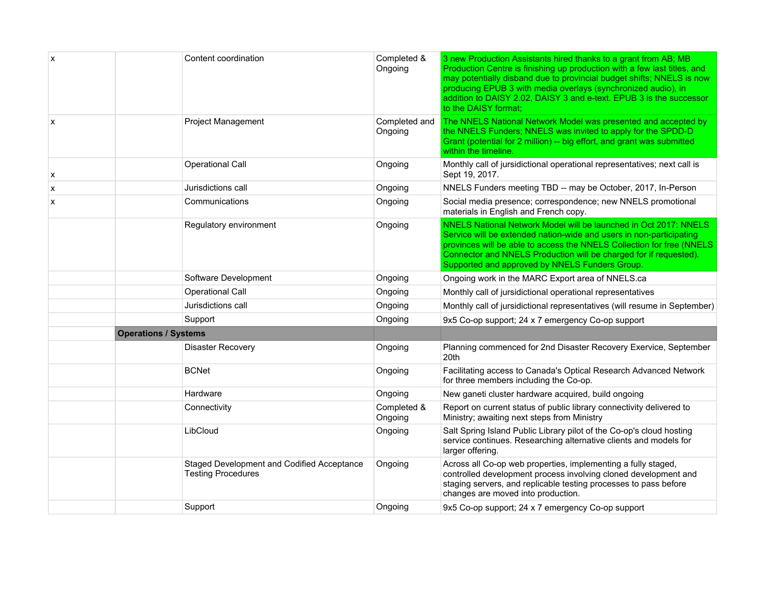| X                         |                             | Content coordination                                                    | Completed &<br>Ongoing   | 3 new Production Assistants hired thanks to a grant from AB; MB<br>Production Centre is finishing up production with a few last titles, and<br>may potentially disband due to provincial budget shifts; NNELS is now<br>producing EPUB 3 with media overlays (synchronized audio), in<br>addition to DAISY 2.02, DAISY 3 and e-text. EPUB 3 is the successor<br>to the DAISY format: |
|---------------------------|-----------------------------|-------------------------------------------------------------------------|--------------------------|--------------------------------------------------------------------------------------------------------------------------------------------------------------------------------------------------------------------------------------------------------------------------------------------------------------------------------------------------------------------------------------|
| $\boldsymbol{\mathsf{x}}$ |                             | <b>Project Management</b>                                               | Completed and<br>Ongoing | The NNELS National Network Model was presented and accepted by<br>the NNELS Funders; NNELS was invited to apply for the SPDD-D<br>Grant (potential for 2 million) -- big effort, and grant was submitted<br>within the timeline.                                                                                                                                                     |
| X                         |                             | <b>Operational Call</b>                                                 | Ongoing                  | Monthly call of jursidictional operational representatives; next call is<br>Sept 19, 2017.                                                                                                                                                                                                                                                                                           |
| x                         |                             | Jurisdictions call                                                      | Ongoing                  | NNELS Funders meeting TBD -- may be October, 2017, In-Person                                                                                                                                                                                                                                                                                                                         |
| x                         |                             | Communications                                                          | Ongoing                  | Social media presence; correspondence; new NNELS promotional<br>materials in English and French copy.                                                                                                                                                                                                                                                                                |
|                           |                             | Regulatory environment                                                  | Ongoing                  | NNELS National Network Model will be launched in Oct 2017: NNELS<br>Service will be extended nation-wide and users in non-participating<br>provinces will be able to access the NNELS Collection for free (NNELS)<br>Connector and NNELS Production will be charged for if requested).<br>Supported and approved by NNELS Funders Group.                                             |
|                           |                             | Software Development                                                    | Ongoing                  | Ongoing work in the MARC Export area of NNELS.ca                                                                                                                                                                                                                                                                                                                                     |
|                           |                             | Operational Call                                                        | Ongoing                  | Monthly call of jursidictional operational representatives                                                                                                                                                                                                                                                                                                                           |
|                           |                             | Jurisdictions call                                                      | Ongoing                  | Monthly call of jursidictional representatives (will resume in September)                                                                                                                                                                                                                                                                                                            |
|                           |                             | Support                                                                 | Ongoing                  | 9x5 Co-op support; 24 x 7 emergency Co-op support                                                                                                                                                                                                                                                                                                                                    |
|                           | <b>Operations / Systems</b> |                                                                         |                          |                                                                                                                                                                                                                                                                                                                                                                                      |
|                           |                             | <b>Disaster Recovery</b>                                                | Ongoing                  | Planning commenced for 2nd Disaster Recovery Exervice, September<br>20th                                                                                                                                                                                                                                                                                                             |
|                           |                             | <b>BCNet</b>                                                            | Ongoing                  | Facilitating access to Canada's Optical Research Advanced Network<br>for three members including the Co-op.                                                                                                                                                                                                                                                                          |
|                           |                             | Hardware                                                                | Ongoing                  | New ganeti cluster hardware acquired, build ongoing                                                                                                                                                                                                                                                                                                                                  |
|                           |                             | Connectivity                                                            | Completed &<br>Ongoing   | Report on current status of public library connectivity delivered to<br>Ministry; awaiting next steps from Ministry                                                                                                                                                                                                                                                                  |
|                           |                             | LibCloud                                                                | Ongoing                  | Salt Spring Island Public Library pilot of the Co-op's cloud hosting<br>service continues. Researching alternative clients and models for<br>larger offering.                                                                                                                                                                                                                        |
|                           |                             | Staged Development and Codified Acceptance<br><b>Testing Procedures</b> | Ongoing                  | Across all Co-op web properties, implementing a fully staged,<br>controlled development process involving cloned development and<br>staging servers, and replicable testing processes to pass before<br>changes are moved into production.                                                                                                                                           |
|                           |                             | Support                                                                 | Ongoing                  | 9x5 Co-op support; 24 x 7 emergency Co-op support                                                                                                                                                                                                                                                                                                                                    |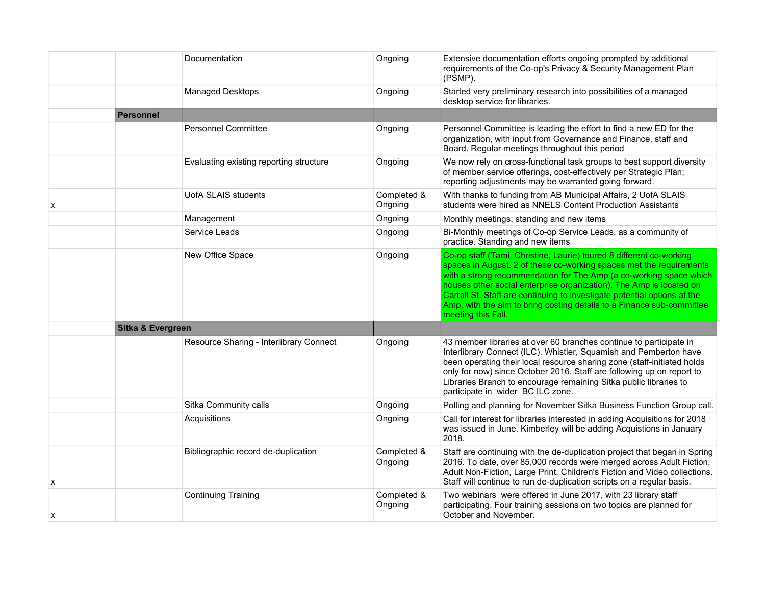|   |                   | Documentation                           | Ongoing                | Extensive documentation efforts ongoing prompted by additional<br>requirements of the Co-op's Privacy & Security Management Plan<br>(PSMP).                                                                                                                                                                                                                                                                                                                        |
|---|-------------------|-----------------------------------------|------------------------|--------------------------------------------------------------------------------------------------------------------------------------------------------------------------------------------------------------------------------------------------------------------------------------------------------------------------------------------------------------------------------------------------------------------------------------------------------------------|
|   |                   | Managed Desktops                        | Ongoing                | Started very preliminary research into possibilities of a managed<br>desktop service for libraries.                                                                                                                                                                                                                                                                                                                                                                |
|   | <b>Personnel</b>  |                                         |                        |                                                                                                                                                                                                                                                                                                                                                                                                                                                                    |
|   |                   | <b>Personnel Committee</b>              | Ongoing                | Personnel Committee is leading the effort to find a new ED for the<br>organization, with input from Governance and Finance, staff and<br>Board. Regular meetings throughout this period                                                                                                                                                                                                                                                                            |
|   |                   | Evaluating existing reporting structure | Ongoing                | We now rely on cross-functional task groups to best support diversity<br>of member service offerings, cost-effectively per Strategic Plan;<br>reporting adjustments may be warranted going forward.                                                                                                                                                                                                                                                                |
| x |                   | <b>UofA SLAIS students</b>              | Completed &<br>Ongoing | With thanks to funding from AB Municipal Affairs, 2 UofA SLAIS<br>students were hired as NNELS Content Production Assistants                                                                                                                                                                                                                                                                                                                                       |
|   |                   | Management                              | Ongoing                | Monthly meetings; standing and new items                                                                                                                                                                                                                                                                                                                                                                                                                           |
|   |                   | Service Leads                           | Ongoing                | Bi-Monthly meetings of Co-op Service Leads, as a community of<br>practice. Standing and new items                                                                                                                                                                                                                                                                                                                                                                  |
|   |                   | New Office Space                        | Ongoing                | Co-op staff (Tami, Christine, Laurie) toured 8 different co-working<br>spaces in August. 2 of these co-working spaces met the requirements<br>with a strong recommendation for The Amp (a co-working space which<br>houses other social enterprise organization). The Amp is located on<br>Carrall St. Staff are continuing to investigate potential options at the<br>Amp, with the aim to bring costing details to a Finance sub-committee<br>meeting this Fall. |
|   | Sitka & Evergreen |                                         |                        |                                                                                                                                                                                                                                                                                                                                                                                                                                                                    |
|   |                   | Resource Sharing - Interlibrary Connect | Ongoing                | 43 member libraries at over 60 branches continue to participate in<br>Interlibrary Connect (ILC). Whistler, Squamish and Pemberton have<br>been operating their local resource sharing zone (staff-initiated holds<br>only for now) since October 2016. Staff are following up on report to<br>Libraries Branch to encourage remaining Sitka public libraries to<br>participate in wider BC ILC zone.                                                              |
|   |                   | Sitka Community calls                   | Ongoing                | Polling and planning for November Sitka Business Function Group call.                                                                                                                                                                                                                                                                                                                                                                                              |
|   |                   | Acquisitions                            | Ongoing                | Call for interest for libraries interested in adding Acquisitions for 2018<br>was issued in June. Kimberley will be adding Acquistions in January<br>2018.                                                                                                                                                                                                                                                                                                         |
| x |                   | Bibliographic record de-duplication     | Completed &<br>Ongoing | Staff are continuing with the de-duplication project that began in Spring<br>2016. To date, over 85,000 records were merged across Adult Fiction,<br>Adult Non-Fiction, Large Print, Children's Fiction and Video collections.<br>Staff will continue to run de-duplication scripts on a regular basis.                                                                                                                                                            |
| x |                   | <b>Continuing Training</b>              | Completed &<br>Ongoing | Two webinars were offered in June 2017, with 23 library staff<br>participating. Four training sessions on two topics are planned for<br>October and November.                                                                                                                                                                                                                                                                                                      |